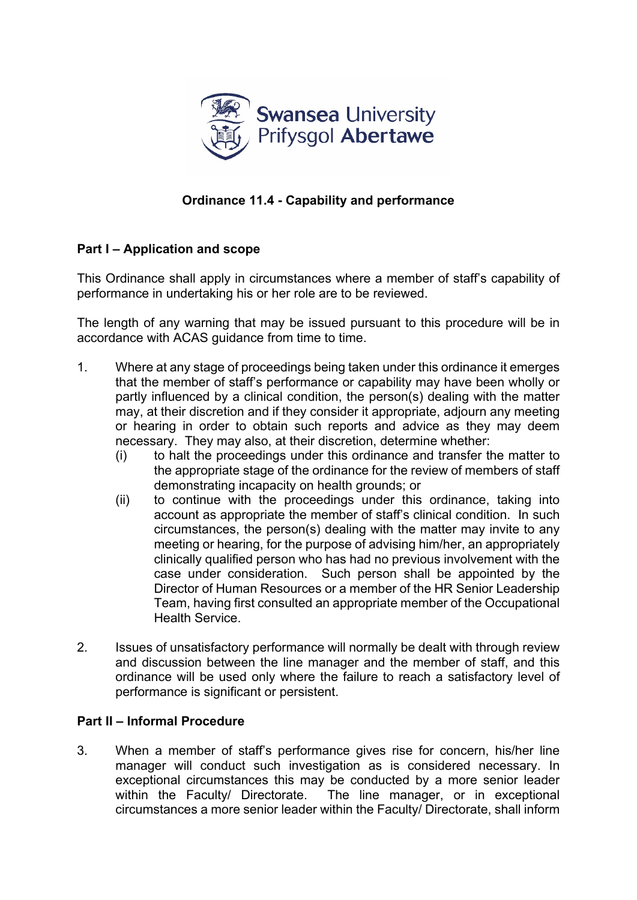

# **Ordinance 11.4 - Capability and performance**

# **Part I – Application and scope**

This Ordinance shall apply in circumstances where a member of staff's capability of performance in undertaking his or her role are to be reviewed.

The length of any warning that may be issued pursuant to this procedure will be in accordance with ACAS guidance from time to time.

- 1. Where at any stage of proceedings being taken under this ordinance it emerges that the member of staff's performance or capability may have been wholly or partly influenced by a clinical condition, the person(s) dealing with the matter may, at their discretion and if they consider it appropriate, adjourn any meeting or hearing in order to obtain such reports and advice as they may deem necessary. They may also, at their discretion, determine whether:
	- (i) to halt the proceedings under this ordinance and transfer the matter to the appropriate stage of the ordinance for the review of members of staff demonstrating incapacity on health grounds; or
	- (ii) to continue with the proceedings under this ordinance, taking into account as appropriate the member of staff's clinical condition. In such circumstances, the person(s) dealing with the matter may invite to any meeting or hearing, for the purpose of advising him/her, an appropriately clinically qualified person who has had no previous involvement with the case under consideration. Such person shall be appointed by the Director of Human Resources or a member of the HR Senior Leadership Team, having first consulted an appropriate member of the Occupational Health Service.
- 2. Issues of unsatisfactory performance will normally be dealt with through review and discussion between the line manager and the member of staff, and this ordinance will be used only where the failure to reach a satisfactory level of performance is significant or persistent.

# **Part II – Informal Procedure**

3. When a member of staff's performance gives rise for concern, his/her line manager will conduct such investigation as is considered necessary. In exceptional circumstances this may be conducted by a more senior leader within the Faculty/ Directorate. The line manager, or in exceptional circumstances a more senior leader within the Faculty/ Directorate, shall inform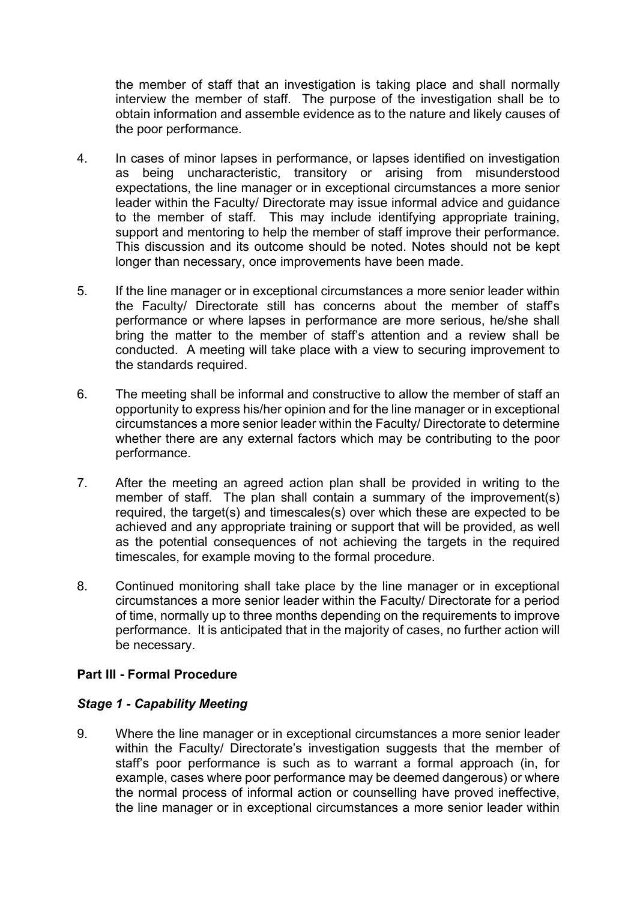the member of staff that an investigation is taking place and shall normally interview the member of staff. The purpose of the investigation shall be to obtain information and assemble evidence as to the nature and likely causes of the poor performance.

- 4. In cases of minor lapses in performance, or lapses identified on investigation as being uncharacteristic, transitory or arising from misunderstood expectations, the line manager or in exceptional circumstances a more senior leader within the Faculty/ Directorate may issue informal advice and guidance to the member of staff. This may include identifying appropriate training, support and mentoring to help the member of staff improve their performance. This discussion and its outcome should be noted. Notes should not be kept longer than necessary, once improvements have been made.
- 5. If the line manager or in exceptional circumstances a more senior leader within the Faculty/ Directorate still has concerns about the member of staff's performance or where lapses in performance are more serious, he/she shall bring the matter to the member of staff's attention and a review shall be conducted. A meeting will take place with a view to securing improvement to the standards required.
- 6. The meeting shall be informal and constructive to allow the member of staff an opportunity to express his/her opinion and for the line manager or in exceptional circumstances a more senior leader within the Faculty/ Directorate to determine whether there are any external factors which may be contributing to the poor performance.
- 7. After the meeting an agreed action plan shall be provided in writing to the member of staff. The plan shall contain a summary of the improvement(s) required, the target(s) and timescales(s) over which these are expected to be achieved and any appropriate training or support that will be provided, as well as the potential consequences of not achieving the targets in the required timescales, for example moving to the formal procedure.
- 8. Continued monitoring shall take place by the line manager or in exceptional circumstances a more senior leader within the Faculty/ Directorate for a period of time, normally up to three months depending on the requirements to improve performance. It is anticipated that in the majority of cases, no further action will be necessary.

### **Part III - Formal Procedure**

#### *Stage 1 - Capability Meeting*

9. Where the line manager or in exceptional circumstances a more senior leader within the Faculty/ Directorate's investigation suggests that the member of staff's poor performance is such as to warrant a formal approach (in, for example, cases where poor performance may be deemed dangerous) or where the normal process of informal action or counselling have proved ineffective, the line manager or in exceptional circumstances a more senior leader within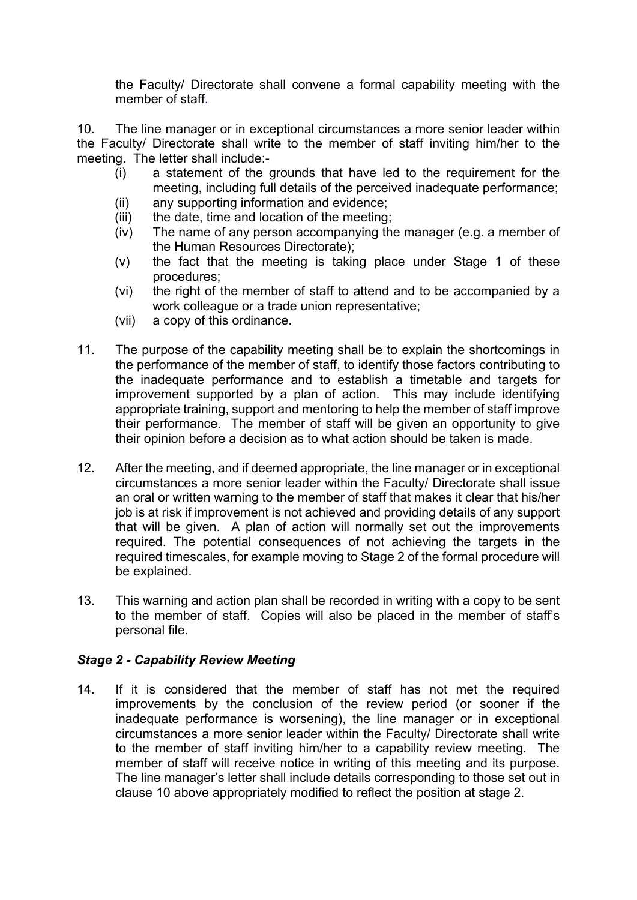the Faculty/ Directorate shall convene a formal capability meeting with the member of staff.

10. The line manager or in exceptional circumstances a more senior leader within the Faculty/ Directorate shall write to the member of staff inviting him/her to the meeting. The letter shall include:-

- (i) a statement of the grounds that have led to the requirement for the meeting, including full details of the perceived inadequate performance; (ii) any supporting information and evidence;
- (iii) the date, time and location of the meeting;
- (iv) The name of any person accompanying the manager (e.g. a member of the Human Resources Directorate);
- (v) the fact that the meeting is taking place under Stage 1 of these procedures;
- (vi) the right of the member of staff to attend and to be accompanied by a work colleague or a trade union representative;
- (vii) a copy of this ordinance.
- 11. The purpose of the capability meeting shall be to explain the shortcomings in the performance of the member of staff, to identify those factors contributing to the inadequate performance and to establish a timetable and targets for improvement supported by a plan of action. This may include identifying appropriate training, support and mentoring to help the member of staff improve their performance. The member of staff will be given an opportunity to give their opinion before a decision as to what action should be taken is made.
- 12. After the meeting, and if deemed appropriate, the line manager or in exceptional circumstances a more senior leader within the Faculty/ Directorate shall issue an oral or written warning to the member of staff that makes it clear that his/her job is at risk if improvement is not achieved and providing details of any support that will be given. A plan of action will normally set out the improvements required. The potential consequences of not achieving the targets in the required timescales, for example moving to Stage 2 of the formal procedure will be explained.
- 13. This warning and action plan shall be recorded in writing with a copy to be sent to the member of staff. Copies will also be placed in the member of staff's personal file.

# *Stage 2 - Capability Review Meeting*

14. If it is considered that the member of staff has not met the required improvements by the conclusion of the review period (or sooner if the inadequate performance is worsening), the line manager or in exceptional circumstances a more senior leader within the Faculty/ Directorate shall write to the member of staff inviting him/her to a capability review meeting. The member of staff will receive notice in writing of this meeting and its purpose. The line manager's letter shall include details corresponding to those set out in clause 10 above appropriately modified to reflect the position at stage 2.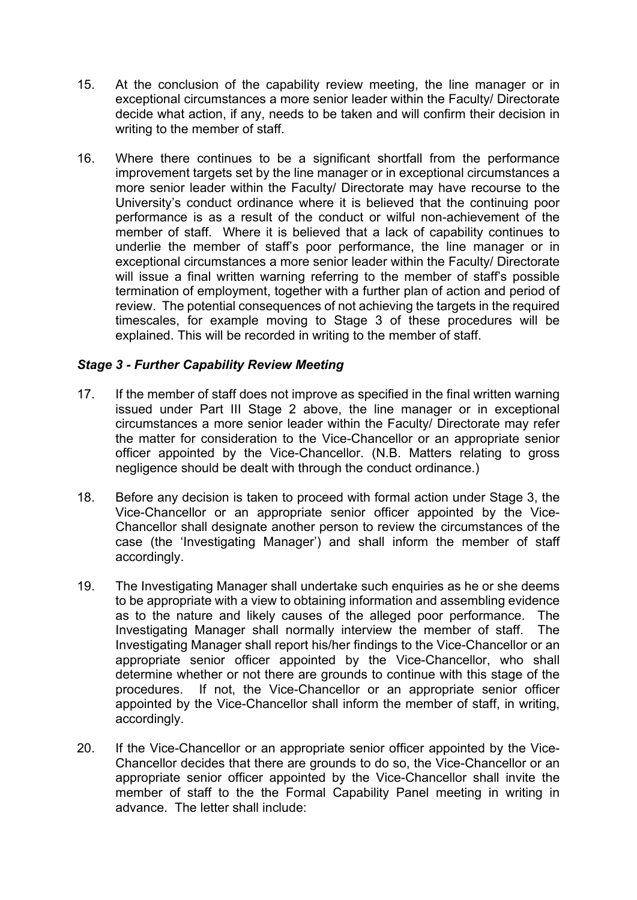- 15. At the conclusion of the capability review meeting, the line manager or in exceptional circumstances a more senior leader within the Faculty/ Directorate decide what action, if any, needs to be taken and will confirm their decision in writing to the member of staff.
- 16. Where there continues to be a significant shortfall from the performance improvement targets set by the line manager or in exceptional circumstances a more senior leader within the Faculty/ Directorate may have recourse to the University's conduct ordinance where it is believed that the continuing poor performance is as a result of the conduct or wilful non-achievement of the member of staff. Where it is believed that a lack of capability continues to underlie the member of staff's poor performance, the line manager or in exceptional circumstances a more senior leader within the Faculty/ Directorate will issue a final written warning referring to the member of staff's possible termination of employment, together with a further plan of action and period of review. The potential consequences of not achieving the targets in the required timescales, for example moving to Stage 3 of these procedures will be explained. This will be recorded in writing to the member of staff.

### *Stage 3 - Further Capability Review Meeting*

- 17. If the member of staff does not improve as specified in the final written warning issued under Part III Stage 2 above, the line manager or in exceptional circumstances a more senior leader within the Faculty/ Directorate may refer the matter for consideration to the Vice-Chancellor or an appropriate senior officer appointed by the Vice-Chancellor. (N.B. Matters relating to gross negligence should be dealt with through the conduct ordinance.)
- 18. Before any decision is taken to proceed with formal action under Stage 3, the Vice-Chancellor or an appropriate senior officer appointed by the Vice-Chancellor shall designate another person to review the circumstances of the case (the 'Investigating Manager') and shall inform the member of staff accordingly.
- 19. The Investigating Manager shall undertake such enquiries as he or she deems to be appropriate with a view to obtaining information and assembling evidence as to the nature and likely causes of the alleged poor performance. The Investigating Manager shall normally interview the member of staff. The Investigating Manager shall report his/her findings to the Vice-Chancellor or an appropriate senior officer appointed by the Vice-Chancellor, who shall determine whether or not there are grounds to continue with this stage of the procedures. If not, the Vice-Chancellor or an appropriate senior officer appointed by the Vice-Chancellor shall inform the member of staff, in writing, accordingly.
- 20. If the Vice-Chancellor or an appropriate senior officer appointed by the Vice-Chancellor decides that there are grounds to do so, the Vice-Chancellor or an appropriate senior officer appointed by the Vice-Chancellor shall invite the member of staff to the the Formal Capability Panel meeting in writing in advance. The letter shall include: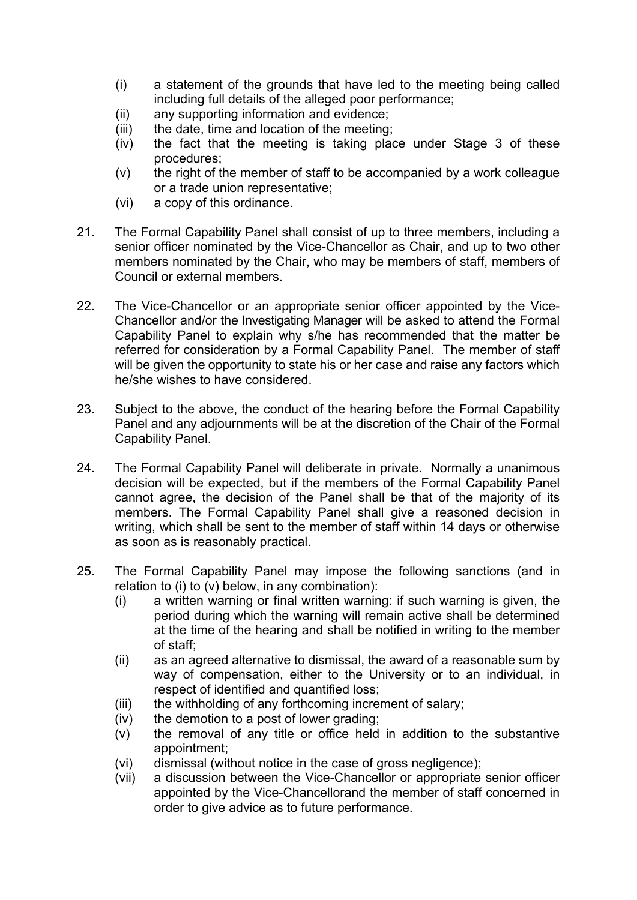- (i) a statement of the grounds that have led to the meeting being called including full details of the alleged poor performance;
- (ii) any supporting information and evidence;
- (iii) the date, time and location of the meeting;
- (iv) the fact that the meeting is taking place under Stage 3 of these procedures;
- (v) the right of the member of staff to be accompanied by a work colleague or a trade union representative;
- (vi) a copy of this ordinance.
- 21. The Formal Capability Panel shall consist of up to three members, including a senior officer nominated by the Vice-Chancellor as Chair, and up to two other members nominated by the Chair, who may be members of staff, members of Council or external members.
- 22. The Vice-Chancellor or an appropriate senior officer appointed by the Vice-Chancellor and/or the Investigating Manager will be asked to attend the Formal Capability Panel to explain why s/he has recommended that the matter be referred for consideration by a Formal Capability Panel. The member of staff will be given the opportunity to state his or her case and raise any factors which he/she wishes to have considered.
- 23. Subject to the above, the conduct of the hearing before the Formal Capability Panel and any adjournments will be at the discretion of the Chair of the Formal Capability Panel.
- 24. The Formal Capability Panel will deliberate in private. Normally a unanimous decision will be expected, but if the members of the Formal Capability Panel cannot agree, the decision of the Panel shall be that of the majority of its members. The Formal Capability Panel shall give a reasoned decision in writing, which shall be sent to the member of staff within 14 days or otherwise as soon as is reasonably practical.
- 25. The Formal Capability Panel may impose the following sanctions (and in relation to (i) to (v) below, in any combination):
	- (i) a written warning or final written warning: if such warning is given, the period during which the warning will remain active shall be determined at the time of the hearing and shall be notified in writing to the member of staff;
	- (ii) as an agreed alternative to dismissal, the award of a reasonable sum by way of compensation, either to the University or to an individual, in respect of identified and quantified loss;
	- (iii) the withholding of any forthcoming increment of salary;
	- (iv) the demotion to a post of lower grading;
	- (v) the removal of any title or office held in addition to the substantive appointment;
	- (vi) dismissal (without notice in the case of gross negligence);
	- (vii) a discussion between the Vice-Chancellor or appropriate senior officer appointed by the Vice-Chancellorand the member of staff concerned in order to give advice as to future performance.